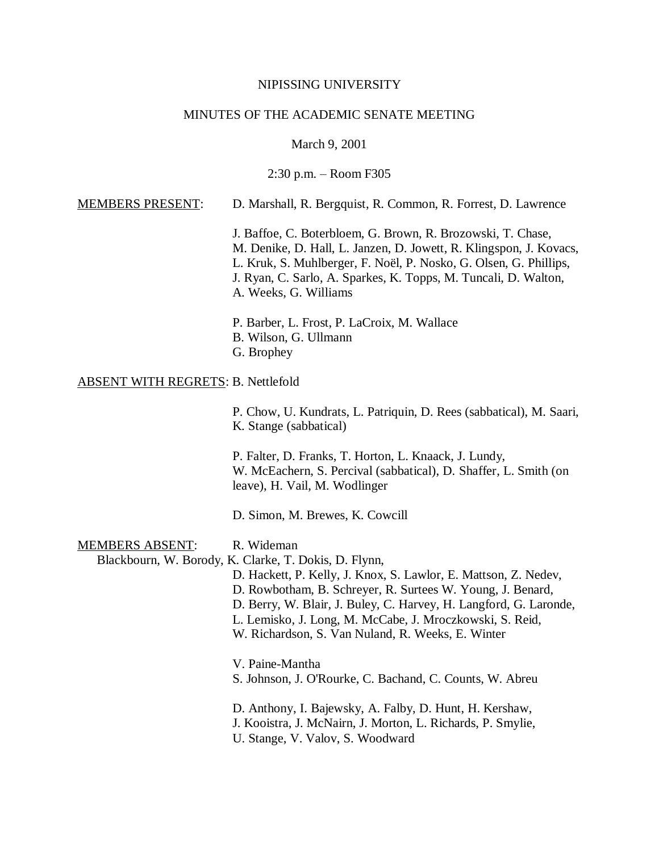#### NIPISSING UNIVERSITY

### MINUTES OF THE ACADEMIC SENATE MEETING

#### March 9, 2001

2:30 p.m. – Room F305

## MEMBERS PRESENT: D. Marshall, R. Bergquist, R. Common, R. Forrest, D. Lawrence

J. Baffoe, C. Boterbloem, G. Brown, R. Brozowski, T. Chase, M. Denike, D. Hall, L. Janzen, D. Jowett, R. Klingspon, J. Kovacs, L. Kruk, S. Muhlberger, F. Noël, P. Nosko, G. Olsen, G. Phillips, J. Ryan, C. Sarlo, A. Sparkes, K. Topps, M. Tuncali, D. Walton, A. Weeks, G. Williams

P. Barber, L. Frost, P. LaCroix, M. Wallace B. Wilson, G. Ullmann G. Brophey

### ABSENT WITH REGRETS: B. Nettlefold

P. Chow, U. Kundrats, L. Patriquin, D. Rees (sabbatical), M. Saari, K. Stange (sabbatical)

P. Falter, D. Franks, T. Horton, L. Knaack, J. Lundy, W. McEachern, S. Percival (sabbatical), D. Shaffer, L. Smith (on leave), H. Vail, M. Wodlinger

D. Simon, M. Brewes, K. Cowcill

## MEMBERS ABSENT: R. Wideman

Blackbourn, W. Borody, K. Clarke, T. Dokis, D. Flynn,

D. Hackett, P. Kelly, J. Knox, S. Lawlor, E. Mattson, Z. Nedev, D. Rowbotham, B. Schreyer, R. Surtees W. Young, J. Benard, D. Berry, W. Blair, J. Buley, C. Harvey, H. Langford, G. Laronde, L. Lemisko, J. Long, M. McCabe, J. Mroczkowski, S. Reid, W. Richardson, S. Van Nuland, R. Weeks, E. Winter

V. Paine-Mantha S. Johnson, J. O'Rourke, C. Bachand, C. Counts, W. Abreu

D. Anthony, I. Bajewsky, A. Falby, D. Hunt, H. Kershaw, J. Kooistra, J. McNairn, J. Morton, L. Richards, P. Smylie, U. Stange, V. Valov, S. Woodward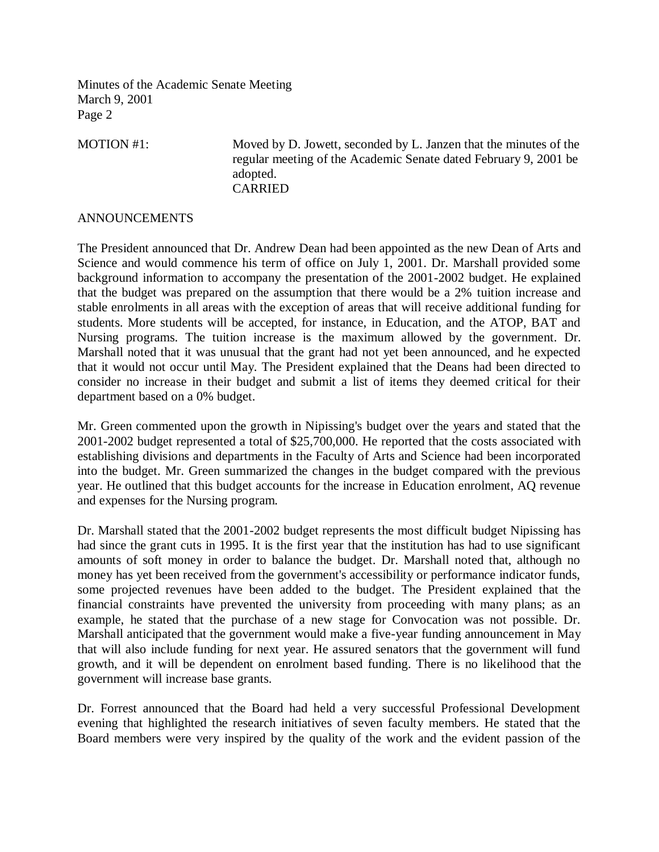MOTION #1: Moved by D. Jowett, seconded by L. Janzen that the minutes of the regular meeting of the Academic Senate dated February 9, 2001 be adopted. CARRIED

## ANNOUNCEMENTS

The President announced that Dr. Andrew Dean had been appointed as the new Dean of Arts and Science and would commence his term of office on July 1, 2001. Dr. Marshall provided some background information to accompany the presentation of the 2001-2002 budget. He explained that the budget was prepared on the assumption that there would be a 2% tuition increase and stable enrolments in all areas with the exception of areas that will receive additional funding for students. More students will be accepted, for instance, in Education, and the ATOP, BAT and Nursing programs. The tuition increase is the maximum allowed by the government. Dr. Marshall noted that it was unusual that the grant had not yet been announced, and he expected that it would not occur until May. The President explained that the Deans had been directed to consider no increase in their budget and submit a list of items they deemed critical for their department based on a 0% budget.

Mr. Green commented upon the growth in Nipissing's budget over the years and stated that the 2001-2002 budget represented a total of \$25,700,000. He reported that the costs associated with establishing divisions and departments in the Faculty of Arts and Science had been incorporated into the budget. Mr. Green summarized the changes in the budget compared with the previous year. He outlined that this budget accounts for the increase in Education enrolment, AQ revenue and expenses for the Nursing program.

Dr. Marshall stated that the 2001-2002 budget represents the most difficult budget Nipissing has had since the grant cuts in 1995. It is the first year that the institution has had to use significant amounts of soft money in order to balance the budget. Dr. Marshall noted that, although no money has yet been received from the government's accessibility or performance indicator funds, some projected revenues have been added to the budget. The President explained that the financial constraints have prevented the university from proceeding with many plans; as an example, he stated that the purchase of a new stage for Convocation was not possible. Dr. Marshall anticipated that the government would make a five-year funding announcement in May that will also include funding for next year. He assured senators that the government will fund growth, and it will be dependent on enrolment based funding. There is no likelihood that the government will increase base grants.

Dr. Forrest announced that the Board had held a very successful Professional Development evening that highlighted the research initiatives of seven faculty members. He stated that the Board members were very inspired by the quality of the work and the evident passion of the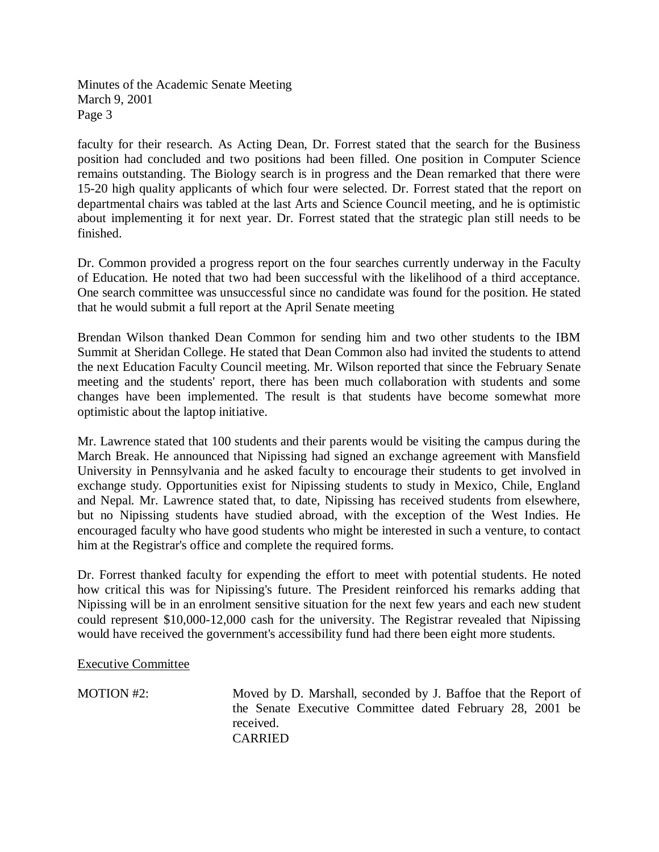faculty for their research. As Acting Dean, Dr. Forrest stated that the search for the Business position had concluded and two positions had been filled. One position in Computer Science remains outstanding. The Biology search is in progress and the Dean remarked that there were 15-20 high quality applicants of which four were selected. Dr. Forrest stated that the report on departmental chairs was tabled at the last Arts and Science Council meeting, and he is optimistic about implementing it for next year. Dr. Forrest stated that the strategic plan still needs to be finished.

Dr. Common provided a progress report on the four searches currently underway in the Faculty of Education. He noted that two had been successful with the likelihood of a third acceptance. One search committee was unsuccessful since no candidate was found for the position. He stated that he would submit a full report at the April Senate meeting

Brendan Wilson thanked Dean Common for sending him and two other students to the IBM Summit at Sheridan College. He stated that Dean Common also had invited the students to attend the next Education Faculty Council meeting. Mr. Wilson reported that since the February Senate meeting and the students' report, there has been much collaboration with students and some changes have been implemented. The result is that students have become somewhat more optimistic about the laptop initiative.

Mr. Lawrence stated that 100 students and their parents would be visiting the campus during the March Break. He announced that Nipissing had signed an exchange agreement with Mansfield University in Pennsylvania and he asked faculty to encourage their students to get involved in exchange study. Opportunities exist for Nipissing students to study in Mexico, Chile, England and Nepal. Mr. Lawrence stated that, to date, Nipissing has received students from elsewhere, but no Nipissing students have studied abroad, with the exception of the West Indies. He encouraged faculty who have good students who might be interested in such a venture, to contact him at the Registrar's office and complete the required forms.

Dr. Forrest thanked faculty for expending the effort to meet with potential students. He noted how critical this was for Nipissing's future. The President reinforced his remarks adding that Nipissing will be in an enrolment sensitive situation for the next few years and each new student could represent \$10,000-12,000 cash for the university. The Registrar revealed that Nipissing would have received the government's accessibility fund had there been eight more students.

Executive Committee

MOTION #2: Moved by D. Marshall, seconded by J. Baffoe that the Report of the Senate Executive Committee dated February 28, 2001 be received. CARRIED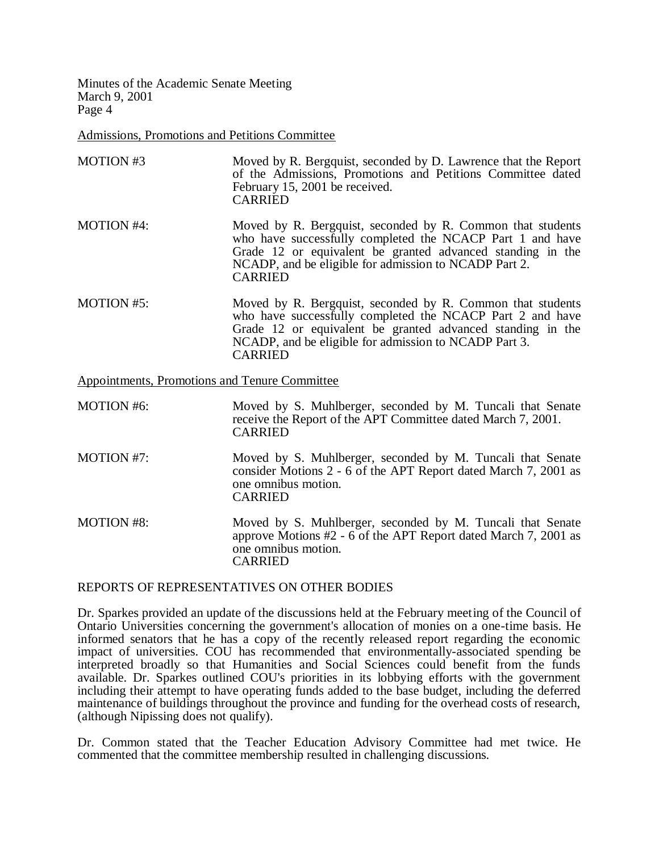Admissions, Promotions and Petitions Committee

MOTION #3 Moved by R. Bergquist, seconded by D. Lawrence that the Report of the Admissions, Promotions and Petitions Committee dated February 15, 2001 be received. CARRIED MOTION #4: Moved by R. Bergquist, seconded by R. Common that students who have successfully completed the NCACP Part 1 and have Grade 12 or equivalent be granted advanced standing in the NCADP, and be eligible for admission to NCADP Part 2. CARRIED MOTION #5: Moved by R. Bergquist, seconded by R. Common that students who have successfully completed the NCACP Part 2 and have Grade 12 or equivalent be granted advanced standing in the NCADP, and be eligible for admission to NCADP Part 3. CARRIED

Appointments, Promotions and Tenure Committee

| <b>MOTION #6:</b> | Moved by S. Muhlberger, seconded by M. Tuncali that Senate<br>receive the Report of the APT Committee dated March 7, 2001.<br><b>CARRIED</b>                           |
|-------------------|------------------------------------------------------------------------------------------------------------------------------------------------------------------------|
| MOTION #7:        | Moved by S. Muhlberger, seconded by M. Tuncali that Senate<br>consider Motions 2 - 6 of the APT Report dated March 7, 2001 as<br>one omnibus motion.<br><b>CARRIED</b> |
| <b>MOTION #8:</b> | Moved by S. Muhlberger, seconded by M. Tuncali that Senate<br>approve Motions #2 - 6 of the APT Report dated March 7, 2001 as<br>one omnibus motion.<br>CARRIED        |

## REPORTS OF REPRESENTATIVES ON OTHER BODIES

Dr. Sparkes provided an update of the discussions held at the February meeting of the Council of Ontario Universities concerning the government's allocation of monies on a one-time basis. He informed senators that he has a copy of the recently released report regarding the economic impact of universities. COU has recommended that environmentally-associated spending be interpreted broadly so that Humanities and Social Sciences could benefit from the funds available. Dr. Sparkes outlined COU's priorities in its lobbying efforts with the government including their attempt to have operating funds added to the base budget, including the deferred maintenance of buildings throughout the province and funding for the overhead costs of research, (although Nipissing does not qualify).

Dr. Common stated that the Teacher Education Advisory Committee had met twice. He commented that the committee membership resulted in challenging discussions.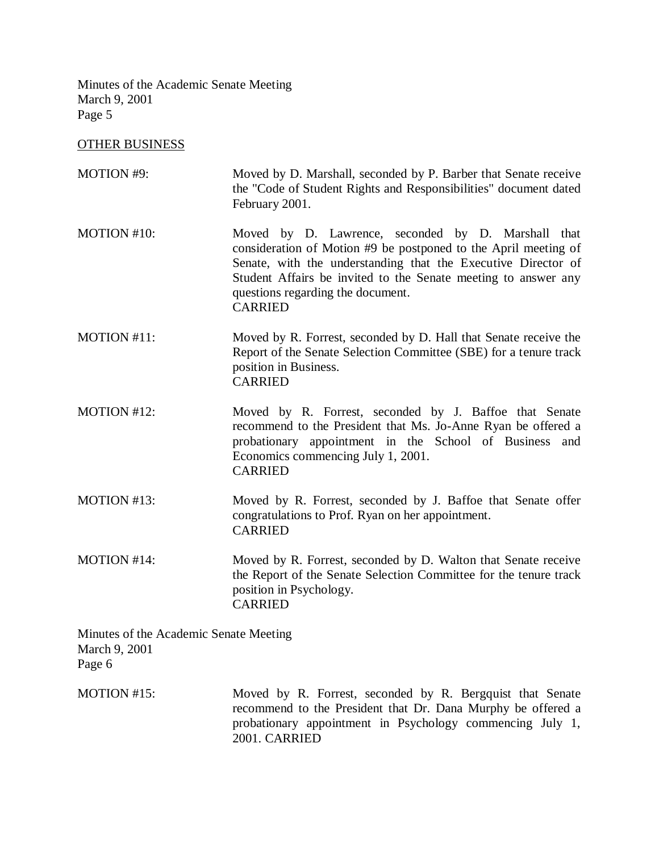# OTHER BUSINESS

| MOTION #9:                                                        | Moved by D. Marshall, seconded by P. Barber that Senate receive<br>the "Code of Student Rights and Responsibilities" document dated<br>February 2001.                                                                                                                                                           |
|-------------------------------------------------------------------|-----------------------------------------------------------------------------------------------------------------------------------------------------------------------------------------------------------------------------------------------------------------------------------------------------------------|
| MOTION #10:                                                       | Moved by D. Lawrence, seconded by D. Marshall that<br>consideration of Motion #9 be postponed to the April meeting of<br>Senate, with the understanding that the Executive Director of<br>Student Affairs be invited to the Senate meeting to answer any<br>questions regarding the document.<br><b>CARRIED</b> |
| MOTION #11:                                                       | Moved by R. Forrest, seconded by D. Hall that Senate receive the<br>Report of the Senate Selection Committee (SBE) for a tenure track<br>position in Business.<br><b>CARRIED</b>                                                                                                                                |
| MOTION #12:                                                       | Moved by R. Forrest, seconded by J. Baffoe that Senate<br>recommend to the President that Ms. Jo-Anne Ryan be offered a<br>probationary appointment in the School of Business<br>and<br>Economics commencing July 1, 2001.<br><b>CARRIED</b>                                                                    |
| MOTION #13:                                                       | Moved by R. Forrest, seconded by J. Baffoe that Senate offer<br>congratulations to Prof. Ryan on her appointment.<br><b>CARRIED</b>                                                                                                                                                                             |
| MOTION #14:                                                       | Moved by R. Forrest, seconded by D. Walton that Senate receive<br>the Report of the Senate Selection Committee for the tenure track<br>position in Psychology.<br><b>CARRIED</b>                                                                                                                                |
| Minutes of the Academic Senate Meeting<br>March 9, 2001<br>Page 6 |                                                                                                                                                                                                                                                                                                                 |
| MOTION #15:                                                       | Moved by R. Forrest, seconded by R. Bergquist that Senate                                                                                                                                                                                                                                                       |

recommend to the President that Dr. Dana Murphy be offered a probationary appointment in Psychology commencing July 1, 2001. CARRIED